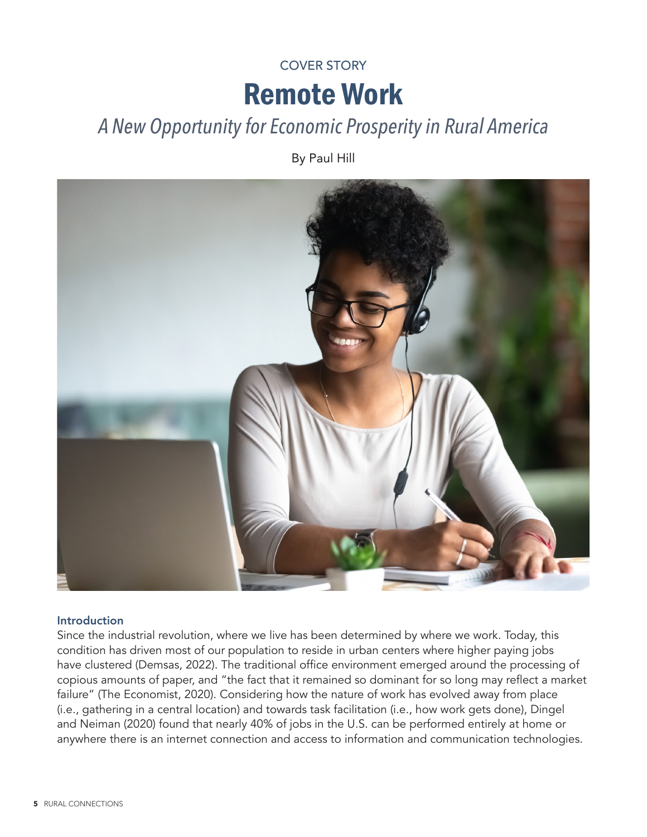# Remote Work COVER STORY

# *A New Opportunity for Economic Prosperity in Rural America*

By Paul Hill



### Introduction

Since the industrial revolution, where we live has been determined by where we work. Today, this condition has driven most of our population to reside in urban centers where higher paying jobs have clustered (Demsas, 2022). The traditional office environment emerged around the processing of copious amounts of paper, and "the fact that it remained so dominant for so long may reflect a market failure" (The Economist, 2020). Considering how the nature of work has evolved away from place (i.e., gathering in a central location) and towards task facilitation (i.e., how work gets done), Dingel and Neiman (2020) found that nearly 40% of jobs in the U.S. can be performed entirely at home or anywhere there is an internet connection and access to information and communication technologies.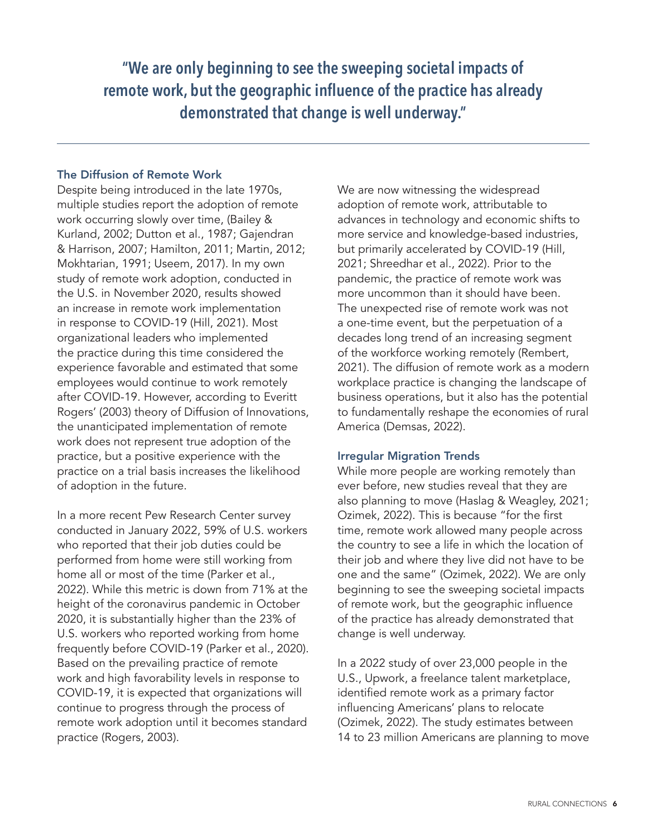**"We are only beginning to see the sweeping societal impacts of remote work, but the geographic influence of the practice has already demonstrated that change is well underway."**

# The Diffusion of Remote Work

Despite being introduced in the late 1970s, multiple studies report the adoption of remote work occurring slowly over time, (Bailey & Kurland, 2002; Dutton et al., 1987; Gajendran & Harrison, 2007; Hamilton, 2011; Martin, 2012; Mokhtarian, 1991; Useem, 2017). In my own study of remote work adoption, conducted in the U.S. in November 2020, results showed an increase in remote work implementation in response to COVID-19 (Hill, 2021). Most organizational leaders who implemented the practice during this time considered the experience favorable and estimated that some employees would continue to work remotely after COVID-19. However, according to Everitt Rogers' (2003) theory of Diffusion of Innovations, the unanticipated implementation of remote work does not represent true adoption of the practice, but a positive experience with the practice on a trial basis increases the likelihood of adoption in the future.

In a more recent Pew Research Center survey conducted in January 2022, 59% of U.S. workers who reported that their job duties could be performed from home were still working from home all or most of the time (Parker et al., 2022). While this metric is down from 71% at the height of the coronavirus pandemic in October 2020, it is substantially higher than the 23% of U.S. workers who reported working from home frequently before COVID-19 (Parker et al., 2020). Based on the prevailing practice of remote work and high favorability levels in response to COVID-19, it is expected that organizations will continue to progress through the process of remote work adoption until it becomes standard practice (Rogers, 2003).

We are now witnessing the widespread adoption of remote work, attributable to advances in technology and economic shifts to more service and knowledge-based industries, but primarily accelerated by COVID-19 (Hill, 2021; Shreedhar et al., 2022). Prior to the pandemic, the practice of remote work was more uncommon than it should have been. The unexpected rise of remote work was not a one-time event, but the perpetuation of a decades long trend of an increasing segment of the workforce working remotely (Rembert, 2021). The diffusion of remote work as a modern workplace practice is changing the landscape of business operations, but it also has the potential to fundamentally reshape the economies of rural America (Demsas, 2022).

# Irregular Migration Trends

While more people are working remotely than ever before, new studies reveal that they are also planning to move (Haslag & Weagley, 2021; Ozimek, 2022). This is because "for the first time, remote work allowed many people across the country to see a life in which the location of their job and where they live did not have to be one and the same" (Ozimek, 2022). We are only beginning to see the sweeping societal impacts of remote work, but the geographic influence of the practice has already demonstrated that change is well underway.

In a 2022 study of over 23,000 people in the U.S., Upwork, a freelance talent marketplace, identified remote work as a primary factor influencing Americans' plans to relocate (Ozimek, 2022). The study estimates between 14 to 23 million Americans are planning to move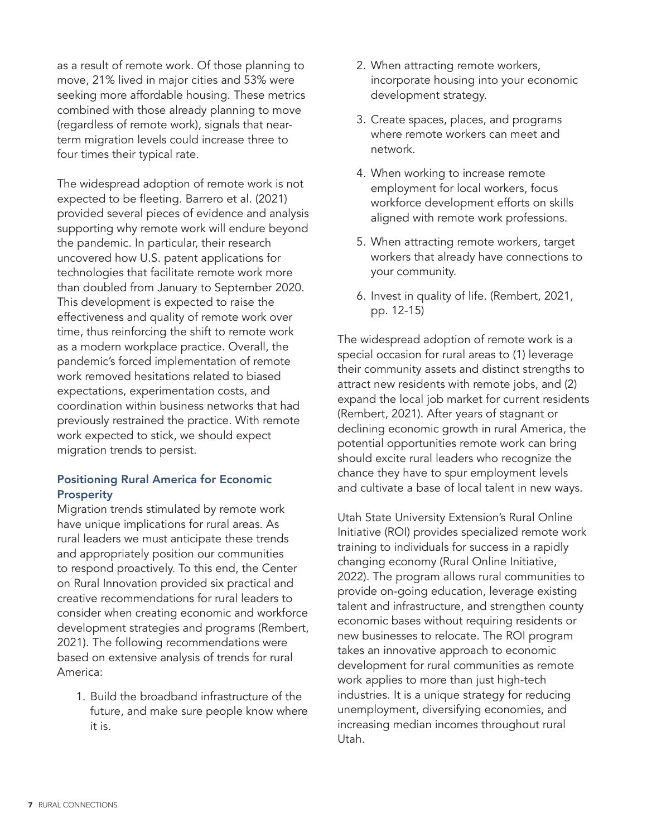as a result of remote work. Of those planning to move, 21% lived in major cities and 53% were seeking more affordable housing. These metrics combined with those already planning to move (regardless of remote work), signals that nearterm migration levels could increase three to four times their typical rate.

The widespread adoption of remote work is not expected to be fleeting. Barrero et al. (2021) provided several pieces of evidence and analysis supporting why remote work will endure beyond the pandemic. In particular, their research uncovered how U.S. patent applications for technologies that facilitate remote work more than doubled from January to September 2020. This development is expected to raise the effectiveness and quality of remote work over time, thus reinforcing the shift to remote work as a modern workplace practice. Overall, the pandemic's forced implementation of remote work removed hesitations related to biased expectations, experimentation costs, and coordination within business networks that had previously restrained the practice. With remote work expected to stick, we should expect migration trends to persist.

# Positioning Rural America for Economic Prosperity

Migration trends stimulated by remote work have unique implications for rural areas. As rural leaders we must anticipate these trends and appropriately position our communities to respond proactively. To this end, the Center on Rural Innovation provided six practical and creative recommendations for rural leaders to consider when creating economic and workforce development strategies and programs (Rembert, 2021). The following recommendations were based on extensive analysis of trends for rural America:

1. Build the broadband infrastructure of the future, and make sure people know where it is.

- 2. When attracting remote workers, incorporate housing into your economic development strategy.
- 3. Create spaces, places, and programs where remote workers can meet and network.
- 4. When working to increase remote employment for local workers, focus workforce development efforts on skills aligned with remote work professions.
- 5. When attracting remote workers, target workers that already have connections to your community.
- 6. Invest in quality of life. (Rembert, 2021, pp. 12-15)

The widespread adoption of remote work is a special occasion for rural areas to (1) leverage their community assets and distinct strengths to attract new residents with remote jobs, and (2) expand the local job market for current residents (Rembert, 2021). After years of stagnant or declining economic growth in rural America, the potential opportunities remote work can bring should excite rural leaders who recognize the chance they have to spur employment levels and cultivate a base of local talent in new ways.

Utah State University Extension's Rural Online Initiative (ROI) provides specialized remote work training to individuals for success in a rapidly changing economy (Rural Online Initiative, 2022). The program allows rural communities to provide on-going education, leverage existing talent and infrastructure, and strengthen county economic bases without requiring residents or new businesses to relocate. The ROI program takes an innovative approach to economic development for rural communities as remote work applies to more than just high-tech industries. It is a unique strategy for reducing unemployment, diversifying economies, and increasing median incomes throughout rural Utah.